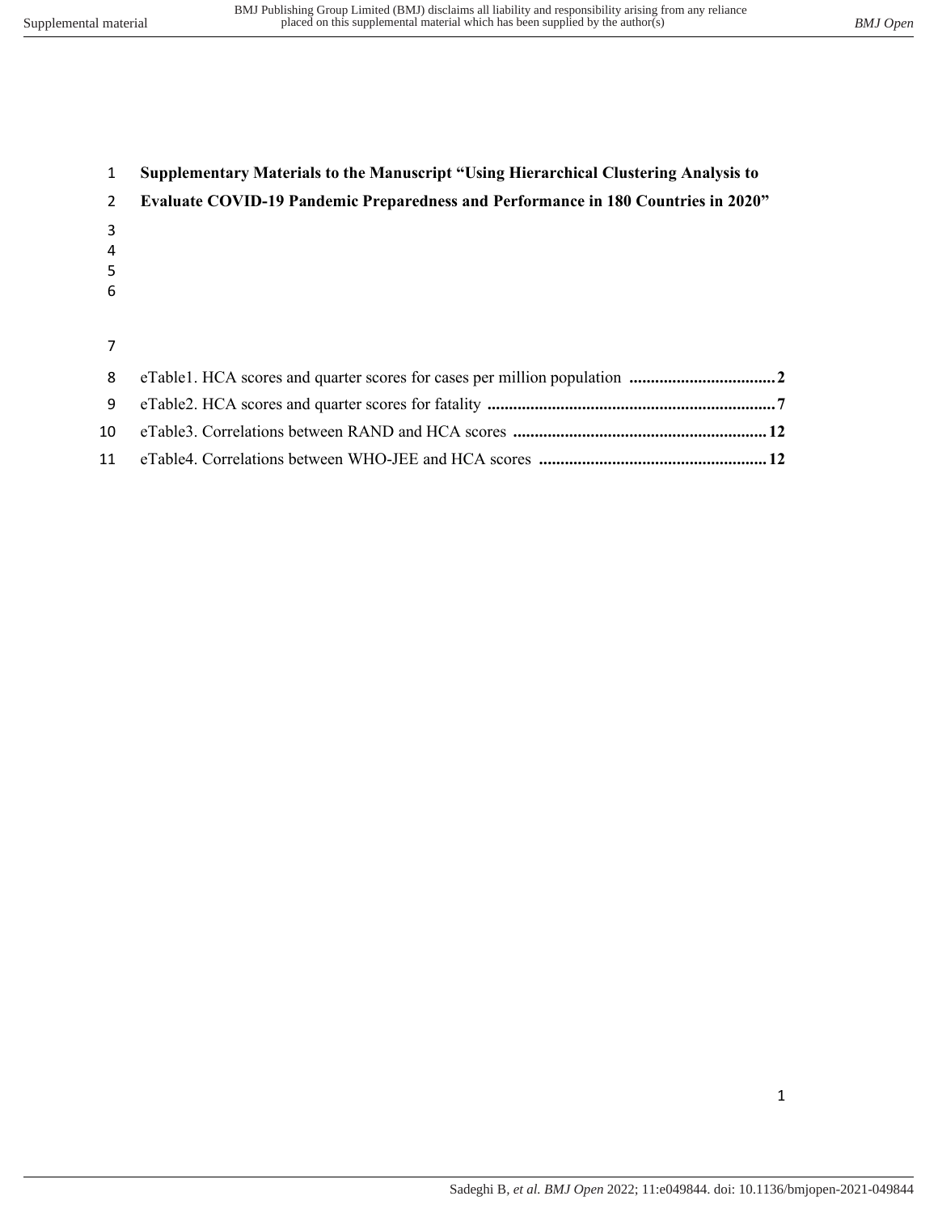| $\mathbf{1}$  | <b>Supplementary Materials to the Manuscript "Using Hierarchical Clustering Analysis to</b> |
|---------------|---------------------------------------------------------------------------------------------|
| $\mathcal{P}$ | <b>Evaluate COVID-19 Pandemic Preparedness and Performance in 180 Countries in 2020"</b>    |
| 3             |                                                                                             |
| 4             |                                                                                             |
| 5             |                                                                                             |
| 6             |                                                                                             |
|               |                                                                                             |
|               |                                                                                             |
| 8             |                                                                                             |
| 9             |                                                                                             |

 eTable3. Correlations between RAND and HCA scores **........................................................... 12**  eTable4. Correlations between WHO-JEE and HCA scores **..................................................... 12**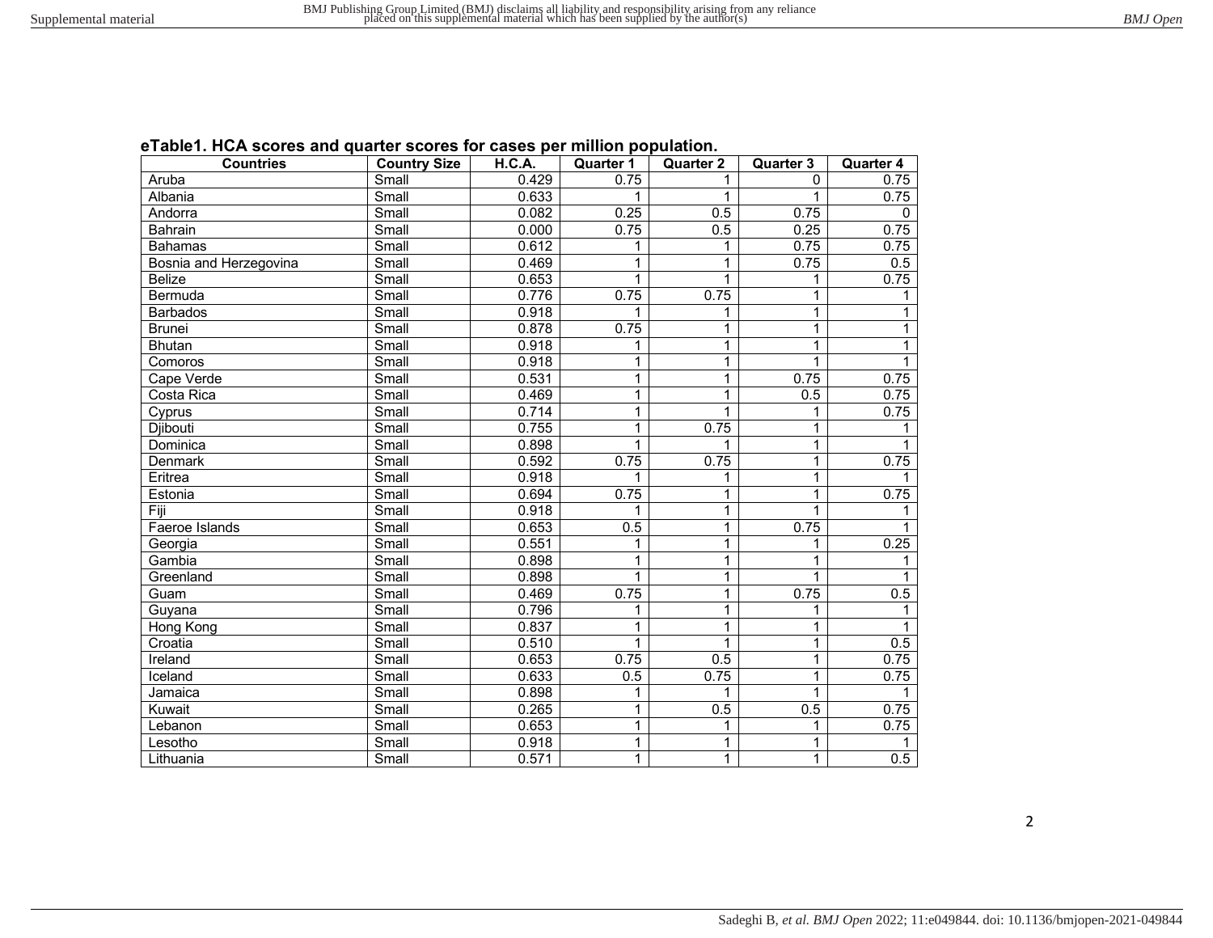| eTable1. HCA scores and quarter scores for cases per million population. |  |  |
|--------------------------------------------------------------------------|--|--|
|--------------------------------------------------------------------------|--|--|

| <b>Countries</b>       | <b>Country Size</b>         | <b>H.C.A.</b> | <b>Quarter 1</b> | <b>Quarter 2</b> | <b>Quarter 3</b> | <b>Quarter 4</b> |
|------------------------|-----------------------------|---------------|------------------|------------------|------------------|------------------|
| Aruba                  | Small                       | 0.429         | 0.75             | 1                | $\Omega$         | 0.75             |
| Albania                | Small                       | 0.633         | 1                | 1                | 1                | 0.75             |
| Andorra                | Small                       | 0.082         | 0.25             | 0.5              | 0.75             | 0                |
| Bahrain                | Small                       | 0.000         | 0.75             | 0.5              | 0.25             | 0.75             |
| <b>Bahamas</b>         | Small                       | 0.612         | 1                | 1                | 0.75             | 0.75             |
| Bosnia and Herzegovina | Small                       | 0.469         | 1                | $\overline{1}$   | 0.75             | 0.5              |
| <b>Belize</b>          | $\overline{\text{Small}}$   | 0.653         | 1                | 1                | 1                | 0.75             |
| Bermuda                | $\overline{\mathsf{Small}}$ | 0.776         | 0.75             | 0.75             | 1                | 1                |
| <b>Barbados</b>        | Small                       | 0.918         | 1                | 1                | 1                | 1                |
| <b>Brunei</b>          | Small                       | 0.878         | 0.75             | 1                | $\mathbf{1}$     | 1                |
| <b>Bhutan</b>          | Small                       | 0.918         | 1                | $\mathbf{1}$     | $\mathbf{1}$     | 1                |
| Comoros                | Small                       | 0.918         | 1                | 1                | 1                | 1                |
| Cape Verde             | Small                       | 0.531         | 1                | 1                | 0.75             | 0.75             |
| Costa Rica             | Small                       | 0.469         | 1                | 1                | 0.5              | 0.75             |
| Cyprus                 | Small                       | 0.714         | 1                | 1                | 1                | 0.75             |
| Djibouti               | Small                       | 0.755         | 1                | 0.75             | 1                |                  |
| Dominica               | Small                       | 0.898         | 1                | 1                | 1                | 1                |
| <b>Denmark</b>         | Small                       | 0.592         | 0.75             | 0.75             | 1                | 0.75             |
| Eritrea                | Small                       | 0.918         | 1                | 1                | 1                |                  |
| Estonia                | Small                       | 0.694         | 0.75             | 1                | $\mathbf{1}$     | 0.75             |
| Fiji                   | Small                       | 0.918         | 1                | 1                | 1                | 1.               |
| Faeroe Islands         | Small                       | 0.653         | $\overline{0.5}$ | 1                | 0.75             | 1                |
| Georgia                | Small                       | 0.551         | 1                | 1                | 1                | 0.25             |
| Gambia                 | Small                       | 0.898         | 1                | 1                | 1                | 1                |
| Greenland              | Small                       | 0.898         | 1                | 1                | 1                |                  |
| Guam                   | Small                       | 0.469         | 0.75             | 1                | 0.75             | 0.5              |
| Guyana                 | Small                       | 0.796         | 1                | 1                | 1                | 1                |
| Hong Kong              | Small                       | 0.837         | 1                | 1                | 1                | 1                |
| Croatia                | Small                       | 0.510         | 1                | 1                | $\mathbf{1}$     | 0.5              |
| Ireland                | Small                       | 0.653         | 0.75             | 0.5              | $\mathbf{1}$     | 0.75             |
| Iceland                | Small                       | 0.633         | 0.5              | 0.75             | 1                | 0.75             |
| Jamaica                | Small                       | 0.898         | 1                | 1                | 1                |                  |
| Kuwait                 | Small                       | 0.265         | 1                | 0.5              | 0.5              | 0.75             |
| Lebanon                | Small                       | 0.653         | 1                | 1                | 1                | 0.75             |
| Lesotho                | Small                       | 0.918         | 1                | 1                | 1                | 1                |
| Lithuania              | Small                       | 0.571         | 1                | $\mathbf{1}$     | $\mathbf{1}$     | 0.5              |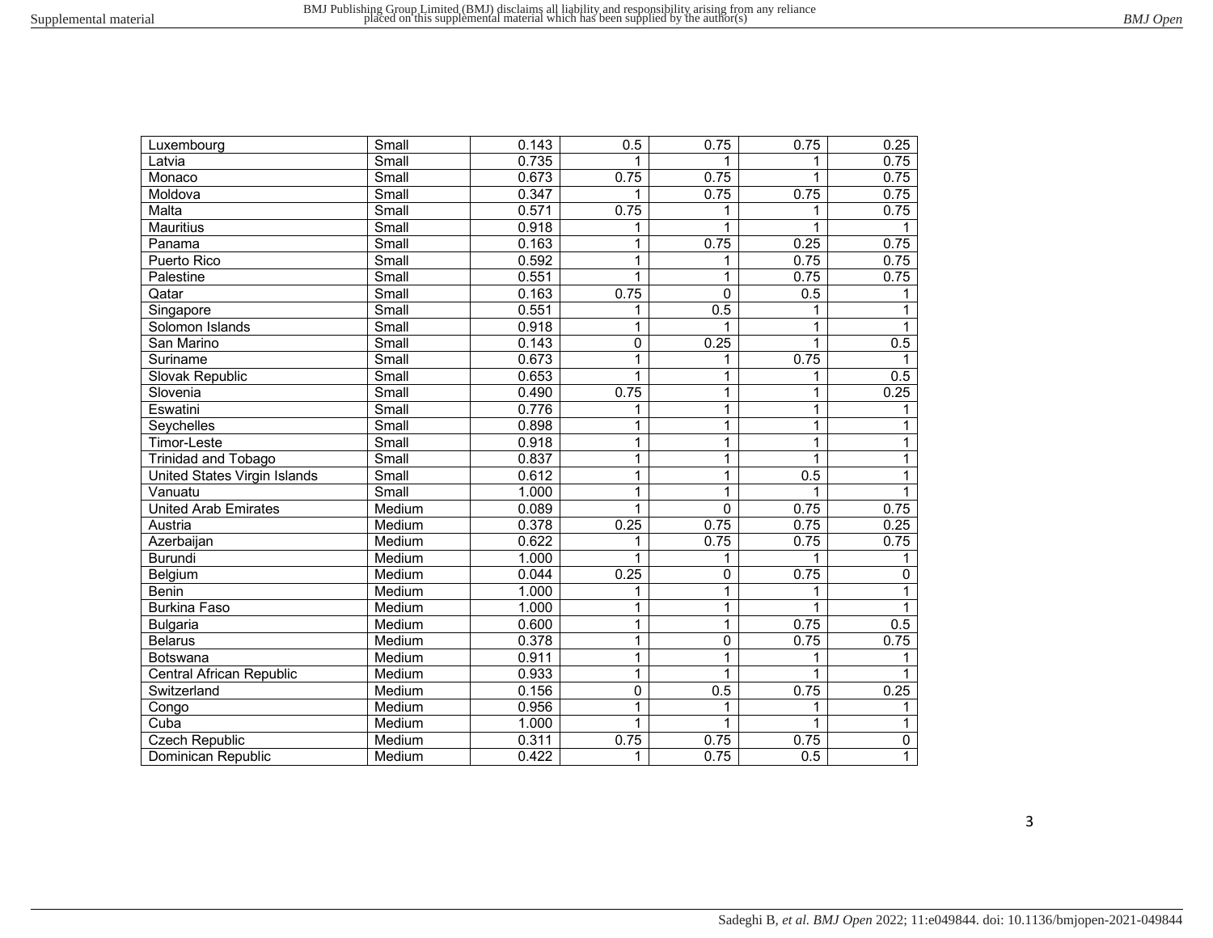| BMJ Open |
|----------|
|          |

| Luxembourg                   | Small                       | 0.143 | 0.5          | 0.75           | 0.75 | 0.25           |
|------------------------------|-----------------------------|-------|--------------|----------------|------|----------------|
| Latvia                       | Small                       | 0.735 |              | 1              |      | 0.75           |
| Monaco                       | Small                       | 0.673 | 0.75         | 0.75           | 1    | 0.75           |
| Moldova                      | Small                       | 0.347 |              | 0.75           | 0.75 | 0.75           |
| Malta                        | Small                       | 0.571 | 0.75         | 1              |      | 0.75           |
| <b>Mauritius</b>             | Small                       | 0.918 | 1            | $\mathbf{1}$   |      |                |
| Panama                       | $\overline{\mathsf{Small}}$ | 0.163 | 1            | 0.75           | 0.25 | 0.75           |
| Puerto Rico                  | Small                       | 0.592 | 1            | 1              | 0.75 | 0.75           |
| Palestine                    | Small                       | 0.551 | 1            | $\mathbf{1}$   | 0.75 | 0.75           |
| Qatar                        | Small                       | 0.163 | 0.75         | $\mathbf 0$    | 0.5  |                |
| Singapore                    | Small                       | 0.551 | 1            | 0.5            |      |                |
| Solomon Islands              | Small                       | 0.918 | 1            | 1              | 1    | 1              |
| San Marino                   | Small                       | 0.143 | 0            | 0.25           | 1    | 0.5            |
| Suriname                     | Small                       | 0.673 | 1            | 1              | 0.75 | 1              |
| Slovak Republic              | Small                       | 0.653 | $\mathbf{1}$ | 1              | 1    | 0.5            |
| Slovenia                     | Small                       | 0.490 | 0.75         | 1              | 1    | 0.25           |
| Eswatini                     | Small                       | 0.776 | 1            | $\mathbf{1}$   | 1    |                |
| Seychelles                   | Small                       | 0.898 | 1            | 1              | 1    | 1              |
| Timor-Leste                  | Small                       | 0.918 | 1            | 1              | 1    | 1              |
| Trinidad and Tobago          | Small                       | 0.837 | 1            | 1              | 1    | $\mathbf{1}$   |
| United States Virgin Islands | Small                       | 0.612 | 1            | 1              | 0.5  | 1              |
| Vanuatu                      | Small                       | 1.000 | 1            | $\mathbf{1}$   | 1    | 1              |
| <b>United Arab Emirates</b>  | Medium                      | 0.089 | 1            | $\Omega$       | 0.75 | 0.75           |
| Austria                      | Medium                      | 0.378 | 0.25         | 0.75           | 0.75 | 0.25           |
| Azerbaijan                   | Medium                      | 0.622 | 1            | 0.75           | 0.75 | 0.75           |
| <b>Burundi</b>               | Medium                      | 1.000 | 1            | 1              | 1    | 1              |
| Belgium                      | Medium                      | 0.044 | 0.25         | $\overline{0}$ | 0.75 | 0              |
| <b>Benin</b>                 | Medium                      | 1.000 | 1            | 1              | 1    | 1              |
| <b>Burkina Faso</b>          | Medium                      | 1.000 | 1            | $\overline{1}$ |      | 1              |
| <b>Bulgaria</b>              | Medium                      | 0.600 | 1            | 1              | 0.75 | 0.5            |
| <b>Belarus</b>               | Medium                      | 0.378 | 1            | $\overline{0}$ | 0.75 | 0.75           |
| Botswana                     | Medium                      | 0.911 | 1            | $\overline{1}$ | 1    | 1              |
| Central African Republic     | Medium                      | 0.933 | 1            | 1              | 1    |                |
| Switzerland                  | Medium                      | 0.156 | $\mathbf 0$  | 0.5            | 0.75 | 0.25           |
| Congo                        | Medium                      | 0.956 | 1            | 1              | 1    | 1              |
| Cuba                         | Medium                      | 1.000 | $\mathbf{1}$ | $\mathbf{1}$   | 1    | 1              |
| <b>Czech Republic</b>        | Medium                      | 0.311 | 0.75         | 0.75           | 0.75 | $\overline{0}$ |
| Dominican Republic           | Medium                      | 0.422 | 1            | 0.75           | 0.5  | $\mathbf{1}$   |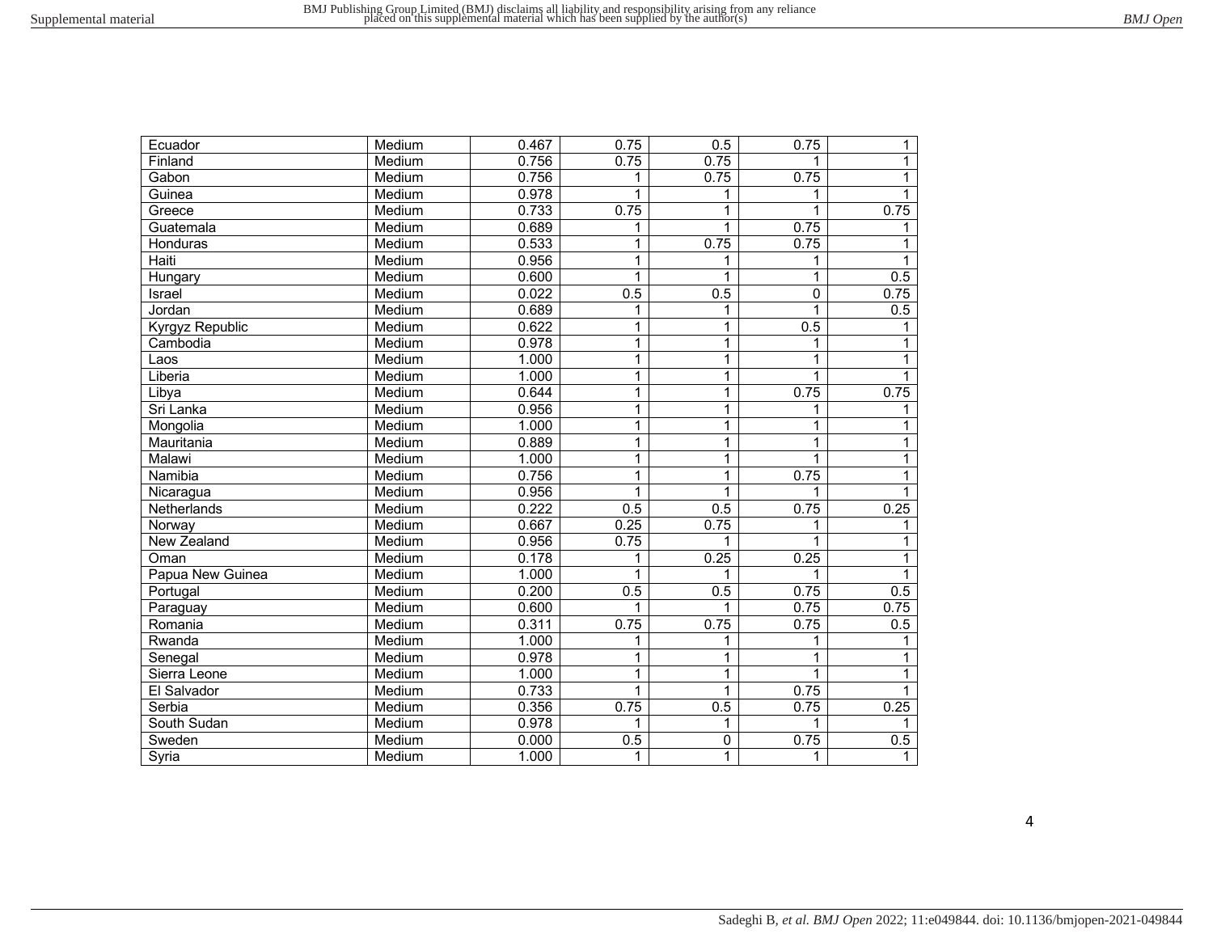| Ecuador          | Medium | 0.467 | 0.75 | 0.5            | 0.75        | 1            |
|------------------|--------|-------|------|----------------|-------------|--------------|
| Finland          | Medium | 0.756 | 0.75 | 0.75           | 1           | $\mathbf{1}$ |
| Gabon            | Medium | 0.756 | 1    | 0.75           | 0.75        | 1            |
| Guinea           | Medium | 0.978 | 1    | 1              | 1           | $\mathbf{1}$ |
| Greece           | Medium | 0.733 | 0.75 | 1              | 1           | 0.75         |
| Guatemala        | Medium | 0.689 | 1    | $\mathbf{1}$   | 0.75        |              |
| Honduras         | Medium | 0.533 | 1    | 0.75           | 0.75        | 1            |
| Haiti            | Medium | 0.956 | 1    | 1              | 1           |              |
| Hungary          | Medium | 0.600 | 1    | 1              | 1           | 0.5          |
| Israel           | Medium | 0.022 | 0.5  | 0.5            | $\mathbf 0$ | 0.75         |
| Jordan           | Medium | 0.689 | 1    | 1              |             | 0.5          |
| Kyrgyz Republic  | Medium | 0.622 | 1    | $\mathbf{1}$   | 0.5         | 1            |
| Cambodia         | Medium | 0.978 | 1    | $\mathbf{1}$   | 1           |              |
| Laos             | Medium | 1.000 | 1    | $\mathbf{1}$   |             |              |
| Liberia          | Medium | 1.000 | 1    | $\mathbf{1}$   |             |              |
| Libya            | Medium | 0.644 | 1    | $\overline{1}$ | 0.75        | 0.75         |
| Sri Lanka        | Medium | 0.956 | 1    | $\mathbf{1}$   | 1           | 1            |
| Mongolia         | Medium | 1.000 | 1    | $\mathbf{1}$   | 1           | 1            |
| Mauritania       | Medium | 0.889 | 1    | $\mathbf{1}$   | 1           | 1            |
| Malawi           | Medium | 1.000 | 1    | $\mathbf{1}$   | 1           | 1            |
| Namibia          | Medium | 0.756 | 1    | $\mathbf{1}$   | 0.75        | 1            |
| Nicaragua        | Medium | 0.956 | 1    | 1              |             |              |
| Netherlands      | Medium | 0.222 | 0.5  | 0.5            | 0.75        | 0.25         |
| Norway           | Medium | 0.667 | 0.25 | 0.75           |             | 1            |
| New Zealand      | Medium | 0.956 | 0.75 | 1              |             | 1            |
| Oman             | Medium | 0.178 | 1    | 0.25           | 0.25        | 1            |
| Papua New Guinea | Medium | 1.000 | 1    | 1              | 1           | 1            |
| Portugal         | Medium | 0.200 | 0.5  | 0.5            | 0.75        | 0.5          |
| Paraguay         | Medium | 0.600 |      | 1              | 0.75        | 0.75         |
| Romania          | Medium | 0.311 | 0.75 | 0.75           | 0.75        | 0.5          |
| Rwanda           | Medium | 1.000 | 1    | 1              |             |              |
| Senegal          | Medium | 0.978 | 1    | 1              |             |              |
| Sierra Leone     | Medium | 1.000 | 1    | 1              |             |              |
| El Salvador      | Medium | 0.733 | 1    | $\overline{1}$ | 0.75        |              |
| Serbia           | Medium | 0.356 | 0.75 | 0.5            | 0.75        | 0.25         |
| South Sudan      | Medium | 0.978 | 1    | 1              | 1           |              |
| Sweden           | Medium | 0.000 | 0.5  | $\pmb{0}$      | 0.75        | 0.5          |
| Syria            | Medium | 1.000 | 1    | 1              | 1           | 1.           |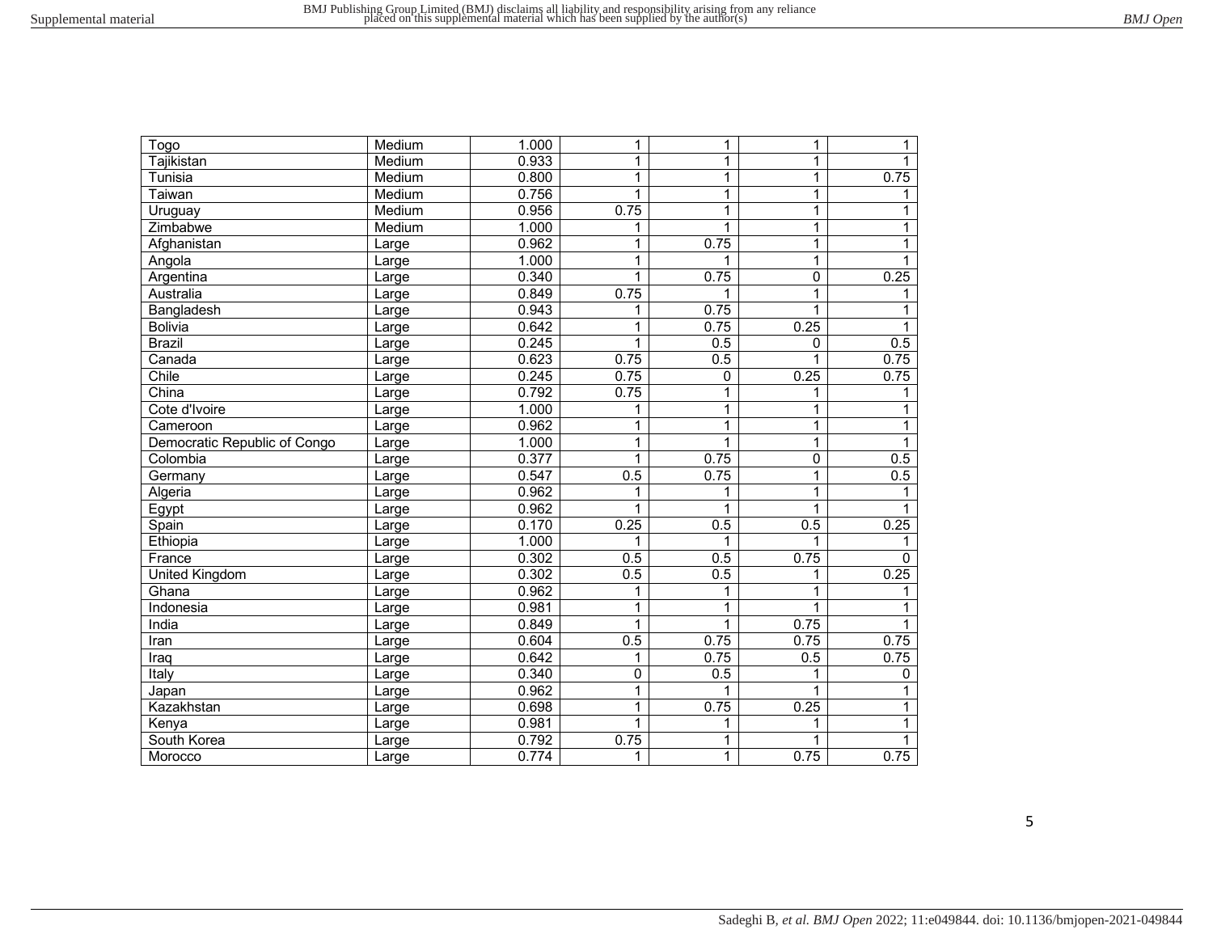| Togo                         | Medium | 1.000 | 1           | $\mathbf{1}$ | 1        | 1            |
|------------------------------|--------|-------|-------------|--------------|----------|--------------|
| Tajikistan                   | Medium | 0.933 | 1           | 1            | 1        | 1            |
| Tunisia                      | Medium | 0.800 | 1           | 1            | 1        | 0.75         |
| Taiwan                       | Medium | 0.756 | 1           | 1            | 1        | 1.           |
| Uruguay                      | Medium | 0.956 | 0.75        | 1            | 1        | 1            |
| Zimbabwe                     | Medium | 1.000 | 1           | $\mathbf{1}$ | 1        | 1            |
| Afghanistan                  | Large  | 0.962 | 1           | 0.75         | 1        |              |
| Angola                       | Large  | 1.000 | 1           | 1            | 1        |              |
| Argentina                    | Large  | 0.340 | 1           | 0.75         | 0        | 0.25         |
| Australia                    | Large  | 0.849 | 0.75        | 1            | 1        |              |
| Bangladesh                   | Large  | 0.943 | 1           | 0.75         |          |              |
| <b>Bolivia</b>               | Large  | 0.642 | 1           | 0.75         | 0.25     | 1            |
| <b>Brazil</b>                | Large  | 0.245 | 1           | 0.5          | $\Omega$ | 0.5          |
| Canada                       | Large  | 0.623 | 0.75        | 0.5          |          | 0.75         |
| Chile                        | Large  | 0.245 | 0.75        | 0            | 0.25     | 0.75         |
| China                        | Large  | 0.792 | 0.75        | 1            | 1        | 1            |
| Cote d'Ivoire                | Large  | 1.000 | 1           | $\mathbf{1}$ | 1        |              |
| Cameroon                     | Large  | 0.962 | 1           | $\mathbf{1}$ | 1        | 1            |
| Democratic Republic of Congo | Large  | 1.000 | 1           | 1            | 1        | 1            |
| Colombia                     | Large  | 0.377 | 1           | 0.75         | 0        | 0.5          |
| Germany                      | Large  | 0.547 | 0.5         | 0.75         | 1        | 0.5          |
| Algeria                      | Large  | 0.962 | 1           | 1            | 1        |              |
| Egypt                        | Large  | 0.962 | 1           | 1            | 1        |              |
| Spain                        | Large  | 0.170 | 0.25        | 0.5          | 0.5      | 0.25         |
| Ethiopia                     | Large  | 1.000 | 1           | 1            |          |              |
| France                       | Large  | 0.302 | 0.5         | 0.5          | 0.75     | $\mathbf{0}$ |
| United Kingdom               | Large  | 0.302 | 0.5         | 0.5          | 1        | 0.25         |
| Ghana                        | Large  | 0.962 | 1           | 1            | 1        | 1            |
| Indonesia                    | Large  | 0.981 | 1           | 1            | 1        |              |
| India                        | Large  | 0.849 | 1           | 1            | 0.75     |              |
| Iran                         | Large  | 0.604 | 0.5         | 0.75         | 0.75     | 0.75         |
| Iraq                         | Large  | 0.642 | 1           | 0.75         | 0.5      | 0.75         |
| Italy                        | Large  | 0.340 | $\mathbf 0$ | 0.5          |          | 0            |
| Japan                        | Large  | 0.962 | 1           | 1            | 1        |              |
| Kazakhstan                   | Large  | 0.698 | 1           | 0.75         | 0.25     | 1            |
| Kenya                        | Large  | 0.981 | 1           | 1            | 1        | 1            |
| South Korea                  | Large  | 0.792 | 0.75        | 1            |          | 1            |
| Morocco                      | Large  | 0.774 | 1           | 1            | 0.75     | 0.75         |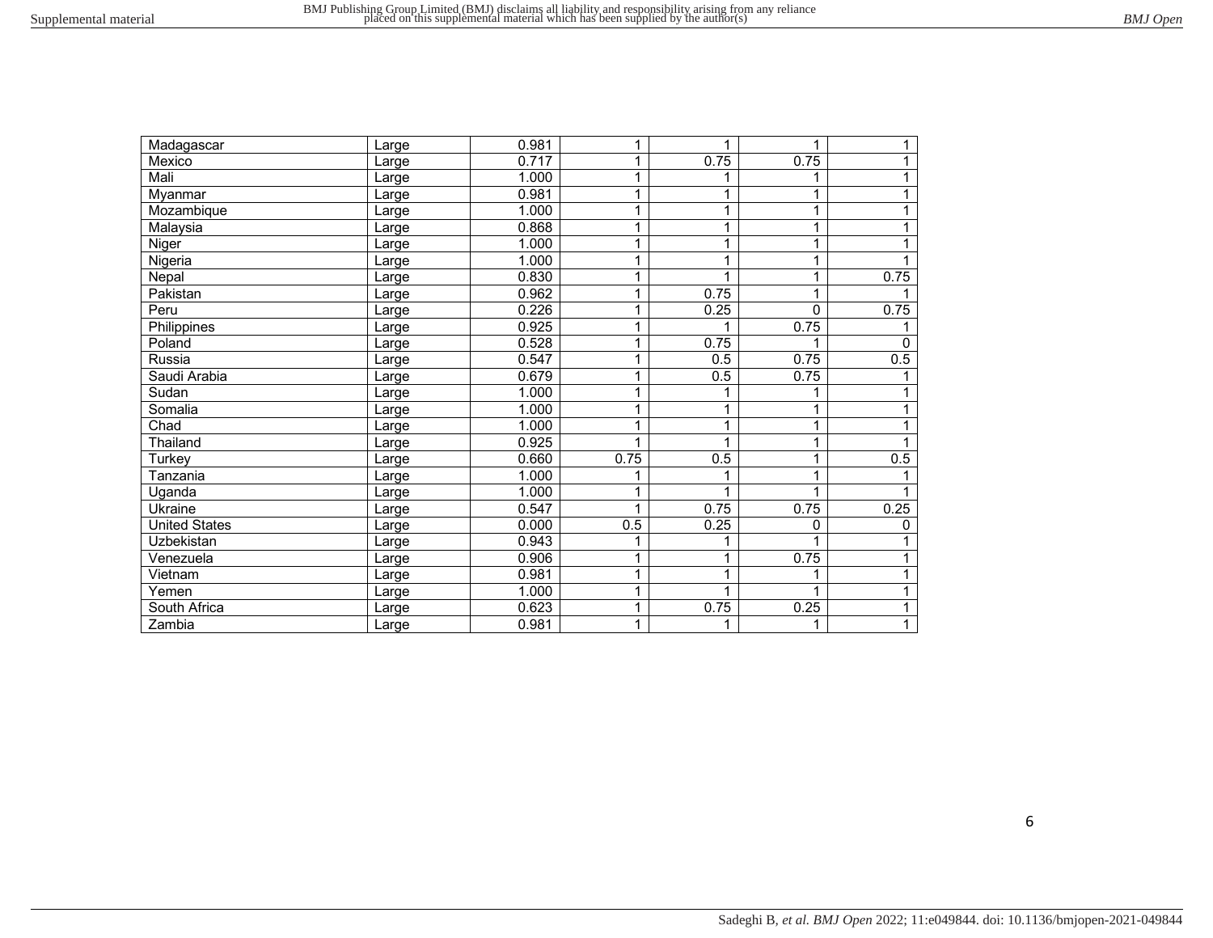| Madagascar           | Large | 0.981 |              | 1    | 1    | 1            |
|----------------------|-------|-------|--------------|------|------|--------------|
| Mexico               | Large | 0.717 |              | 0.75 | 0.75 | 1            |
| Mali                 | Large | 1.000 | 1            | 1    |      | 1            |
| Myanmar              | Large | 0.981 |              | 1    |      | 1            |
| Mozambique           | Large | 1.000 | 1            | 1    | 1    | 1            |
| Malaysia             | Large | 0.868 |              | 1    |      |              |
| Niger                | Large | 1.000 | 1            | 1    | 1    |              |
| Nigeria              | Large | 1.000 |              | 1    |      |              |
| Nepal                | Large | 0.830 | $\mathbf 1$  | 1    | 1    | 0.75         |
| Pakistan             | Large | 0.962 | 1            | 0.75 | 1    |              |
| Peru                 | Large | 0.226 | 1            | 0.25 | 0    | 0.75         |
| Philippines          | Large | 0.925 | 1            |      | 0.75 |              |
| Poland               | Large | 0.528 | $\mathbf{1}$ | 0.75 |      | 0            |
| Russia               | Large | 0.547 | 1            | 0.5  | 0.75 | 0.5          |
| Saudi Arabia         | Large | 0.679 |              | 0.5  | 0.75 |              |
| Sudan                | Large | 1.000 | 1            | 1    |      |              |
| Somalia              | Large | 1.000 |              | 1    |      |              |
| Chad                 | Large | 1.000 |              | 1    | 1    |              |
| Thailand             | Large | 0.925 |              |      |      |              |
| Turkey               | Large | 0.660 | 0.75         | 0.5  | 1    | 0.5          |
| Tanzania             | Large | 1.000 |              |      |      |              |
| Uganda               | Large | 1.000 |              | 1    | 1    |              |
| Ukraine              | Large | 0.547 |              | 0.75 | 0.75 | 0.25         |
| <b>United States</b> | Large | 0.000 | 0.5          | 0.25 | 0    | $\mathbf{0}$ |
| Uzbekistan           | Large | 0.943 |              | 1    |      |              |
| Venezuela            | Large | 0.906 | 1            | 1    | 0.75 | 1            |
| Vietnam              | Large | 0.981 | 1            | 1    |      |              |
| Yemen                | Large | 1.000 | 1            | 1    | 1    | 1            |
| South Africa         | Large | 0.623 | 1            | 0.75 | 0.25 | 1            |
| Zambia               | Large | 0.981 |              | 1    | 1    | 1            |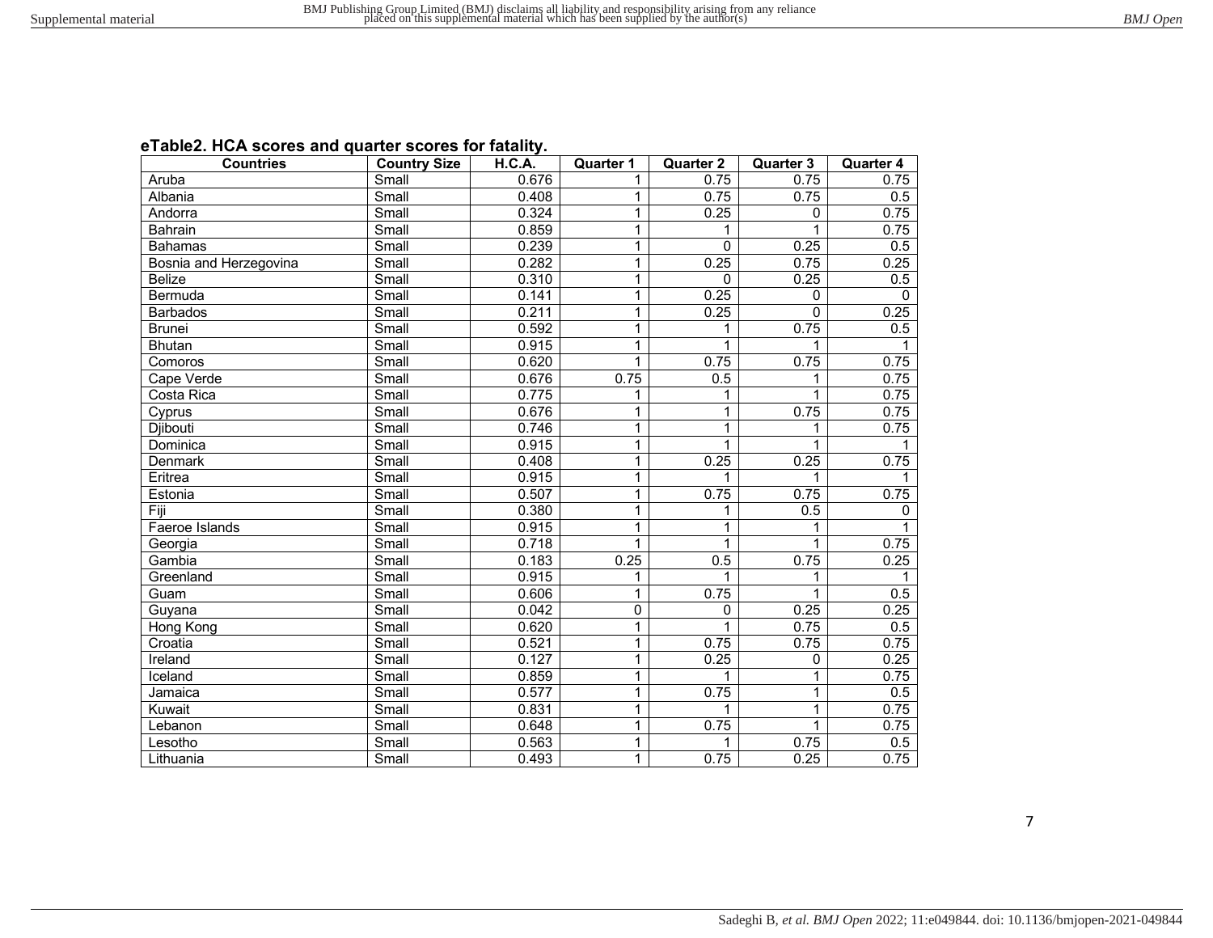|  | eTable2. HCA scores and quarter scores for fatality. |
|--|------------------------------------------------------|
|--|------------------------------------------------------|

| <b>Countries</b>       | <b>Country Size</b>         | H.C.A. | <b>Quarter 1</b> | <b>Quarter 2</b> | <b>Quarter 3</b> | <b>Quarter 4</b> |
|------------------------|-----------------------------|--------|------------------|------------------|------------------|------------------|
| Aruba                  | Small                       | 0.676  | 1                | 0.75             | 0.75             | 0.75             |
| Albania                | Small                       | 0.408  | 1                | 0.75             | 0.75             | 0.5              |
| Andorra                | Small                       | 0.324  | 1                | 0.25             | 0                | 0.75             |
| Bahrain                | $\overline{\text{Small}}$   | 0.859  | 1                | 1                |                  | 0.75             |
| <b>Bahamas</b>         | $\overline{\mathsf{Small}}$ | 0.239  | $\mathbf{1}$     | $\overline{0}$   | 0.25             | 0.5              |
| Bosnia and Herzegovina | Small                       | 0.282  | 1                | 0.25             | 0.75             | 0.25             |
| <b>Belize</b>          | Small                       | 0.310  | 1                | $\Omega$         | 0.25             | 0.5              |
| Bermuda                | Small                       | 0.141  | $\mathbf{1}$     | 0.25             | $\Omega$         | $\mathbf{0}$     |
| <b>Barbados</b>        | Small                       | 0.211  | 1                | 0.25             | $\overline{0}$   | 0.25             |
| <b>Brunei</b>          | Small                       | 0.592  | 1                | 1                | 0.75             | 0.5              |
| <b>Bhutan</b>          | Small                       | 0.915  | 1                | 1                | 1                |                  |
| Comoros                | Small                       | 0.620  | $\mathbf{1}$     | 0.75             | 0.75             | 0.75             |
| Cape Verde             | Small                       | 0.676  | 0.75             | 0.5              | 1                | 0.75             |
| Costa Rica             | Small                       | 0.775  | 1                | 1                | 1                | 0.75             |
| Cyprus                 | Small                       | 0.676  | 1                | $\overline{1}$   | 0.75             | 0.75             |
| <b>Djibouti</b>        | Small                       | 0.746  | 1                | 1                | 1                | 0.75             |
| Dominica               | Small                       | 0.915  | 1                | 1                | $\mathbf{1}$     | 1                |
| Denmark                | Small                       | 0.408  | 1                | 0.25             | 0.25             | 0.75             |
| Eritrea                | Small                       | 0.915  | 1                | 1                | $\mathbf{1}$     |                  |
| Estonia                | Small                       | 0.507  | 1                | 0.75             | 0.75             | 0.75             |
| Fiji                   | Small                       | 0.380  | 1                | 1                | 0.5              | $\Omega$         |
| Faeroe Islands         | Small                       | 0.915  | $\mathbf{1}$     | 1                | 1                |                  |
| Georgia                | Small                       | 0.718  | $\mathbf{1}$     | 1                | 1                | 0.75             |
| Gambia                 | Small                       | 0.183  | 0.25             | 0.5              | 0.75             | 0.25             |
| Greenland              | Small                       | 0.915  | 1                | 1                | 1                |                  |
| Guam                   | Small                       | 0.606  | $\mathbf{1}$     | 0.75             | $\mathbf{1}$     | 0.5              |
| Guyana                 | Small                       | 0.042  | 0                | $\Omega$         | 0.25             | 0.25             |
| Hong Kong              | Small                       | 0.620  | $\mathbf{1}$     | 1                | 0.75             | 0.5              |
| Croatia                | Small                       | 0.521  | 1                | 0.75             | 0.75             | 0.75             |
| Ireland                | Small                       | 0.127  | 1                | 0.25             | 0                | 0.25             |
| <b>I</b> celand        | $\overline{\mathsf{Small}}$ | 0.859  | 1                | 1                | 1                | 0.75             |
| Jamaica                | Small                       | 0.577  | 1                | 0.75             | 1                | $\overline{0.5}$ |
| Kuwait                 | Small                       | 0.831  | 1                | 1                | 1                | 0.75             |
| Lebanon                | Small                       | 0.648  | $\mathbf{1}$     | 0.75             | $\mathbf{1}$     | 0.75             |
| Lesotho                | Small                       | 0.563  | $\overline{1}$   | 1                | 0.75             | $\overline{0.5}$ |
| Lithuania              | Small                       | 0.493  | $\mathbf{1}$     | 0.75             | 0.25             | 0.75             |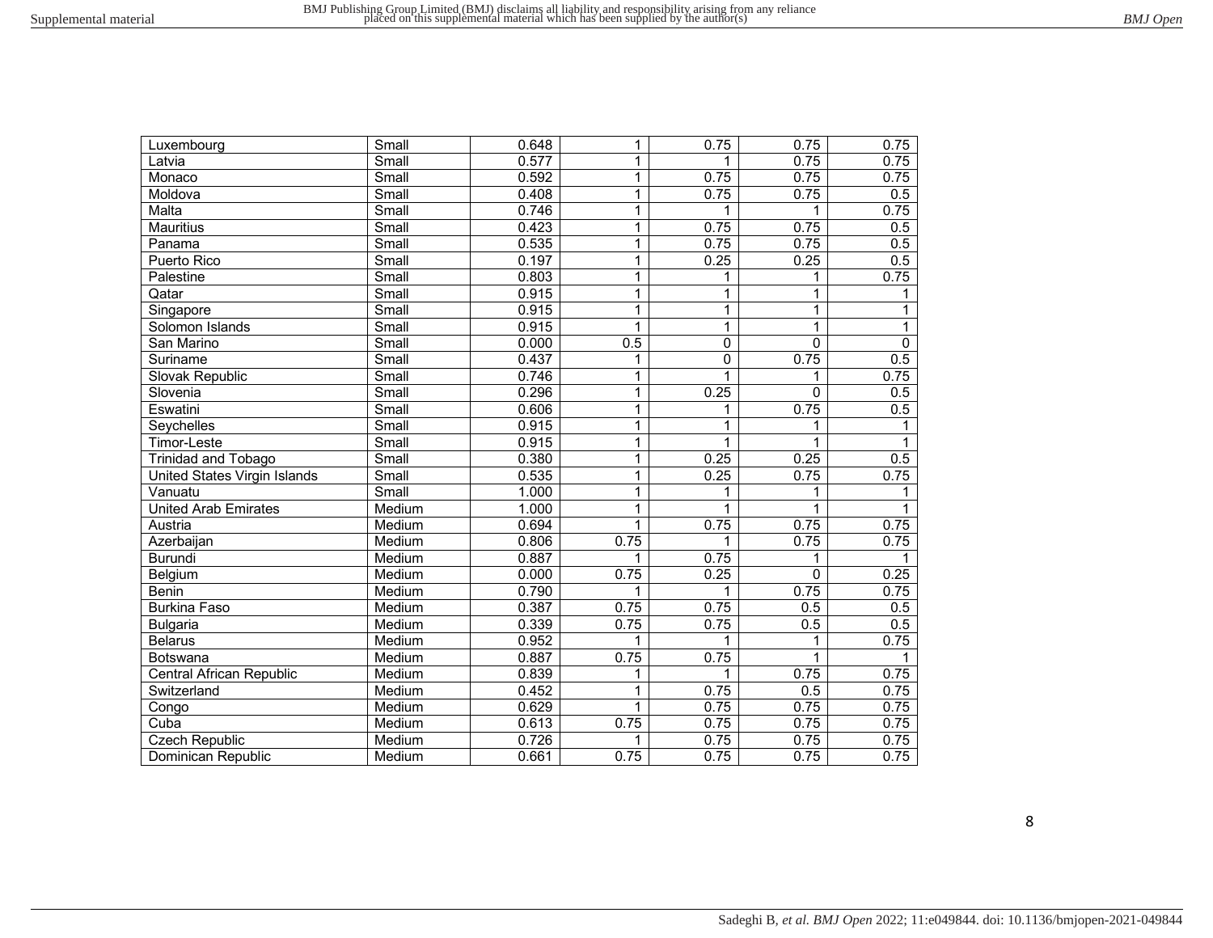| Luxembourg                   | Small                       | 0.648 | 1    | 0.75           | 0.75         | 0.75             |
|------------------------------|-----------------------------|-------|------|----------------|--------------|------------------|
| Latvia                       | Small                       | 0.577 | 1    |                | 0.75         | 0.75             |
| Monaco                       | Small                       | 0.592 | 1    | 0.75           | 0.75         | 0.75             |
| Moldova                      | Small                       | 0.408 | 1    | 0.75           | 0.75         | 0.5              |
| Malta                        | Small                       | 0.746 | 1    | 1              | 1            | 0.75             |
| <b>Mauritius</b>             | Small                       | 0.423 | 1    | 0.75           | 0.75         | 0.5              |
| Panama                       | Small                       | 0.535 | 1    | 0.75           | 0.75         | 0.5              |
| Puerto Rico                  | Small                       | 0.197 | 1    | 0.25           | 0.25         | $\overline{0.5}$ |
| Palestine                    | Small                       | 0.803 | 1    | 1              | 1            | 0.75             |
| Qatar                        | Small                       | 0.915 | 1    | 1              | 1            | $\mathbf{1}$     |
| Singapore                    | Small                       | 0.915 | 1    | $\overline{1}$ | $\mathbf 1$  | $\mathbf{1}$     |
| Solomon Islands              | $\overline{\mathsf{Small}}$ | 0.915 | 1    | $\overline{1}$ | $\mathbf{1}$ | $\overline{1}$   |
| San Marino                   | Small                       | 0.000 | 0.5  | $\overline{0}$ | 0            | $\overline{0}$   |
| Suriname                     | Small                       | 0.437 | 1    | $\overline{0}$ | 0.75         | 0.5              |
| Slovak Republic              | Small                       | 0.746 | 1    | $\overline{1}$ | 1            | 0.75             |
| Slovenia                     | Small                       | 0.296 | 1    | 0.25           | 0            | 0.5              |
| Eswatini                     | Small                       | 0.606 | 1    | 1              | 0.75         | 0.5              |
| Seychelles                   | Small                       | 0.915 | 1    | 1              | 1            | 1                |
| Timor-Leste                  | Small                       | 0.915 | 1    | 1              | 1            | $\mathbf{1}$     |
| Trinidad and Tobago          | Small                       | 0.380 | 1    | 0.25           | 0.25         | 0.5              |
| United States Virgin Islands | Small                       | 0.535 | 1    | 0.25           | 0.75         | 0.75             |
| Vanuatu                      | Small                       | 1.000 | 1    | 1              | 1            | 1                |
| <b>United Arab Emirates</b>  | Medium                      | 1.000 | 1    | 1              | 1            |                  |
| Austria                      | Medium                      | 0.694 | 1    | 0.75           | 0.75         | 0.75             |
| Azerbaijan                   | Medium                      | 0.806 | 0.75 | 1              | 0.75         | 0.75             |
| <b>Burundi</b>               | Medium                      | 0.887 | 1    | 0.75           | 1            |                  |
| Belgium                      | Medium                      | 0.000 | 0.75 | 0.25           | $\mathbf 0$  | 0.25             |
| Benin                        | Medium                      | 0.790 | 1    | 1              | 0.75         | 0.75             |
| <b>Burkina Faso</b>          | Medium                      | 0.387 | 0.75 | 0.75           | 0.5          | $\overline{0.5}$ |
| <b>Bulgaria</b>              | Medium                      | 0.339 | 0.75 | 0.75           | 0.5          | $\overline{0.5}$ |
| <b>Belarus</b>               | Medium                      | 0.952 | 1    | 1              | 1            | 0.75             |
| Botswana                     | Medium                      | 0.887 | 0.75 | 0.75           | $\mathbf 1$  |                  |
| Central African Republic     | Medium                      | 0.839 | 1    | 1              | 0.75         | 0.75             |
| Switzerland                  | Medium                      | 0.452 | 1    | 0.75           | 0.5          | 0.75             |
| Congo                        | Medium                      | 0.629 | 1    | 0.75           | 0.75         | 0.75             |
| Cuba                         | Medium                      | 0.613 | 0.75 | 0.75           | 0.75         | 0.75             |
| <b>Czech Republic</b>        | Medium                      | 0.726 | 1    | 0.75           | 0.75         | 0.75             |
| Dominican Republic           | Medium                      | 0.661 | 0.75 | 0.75           | 0.75         | 0.75             |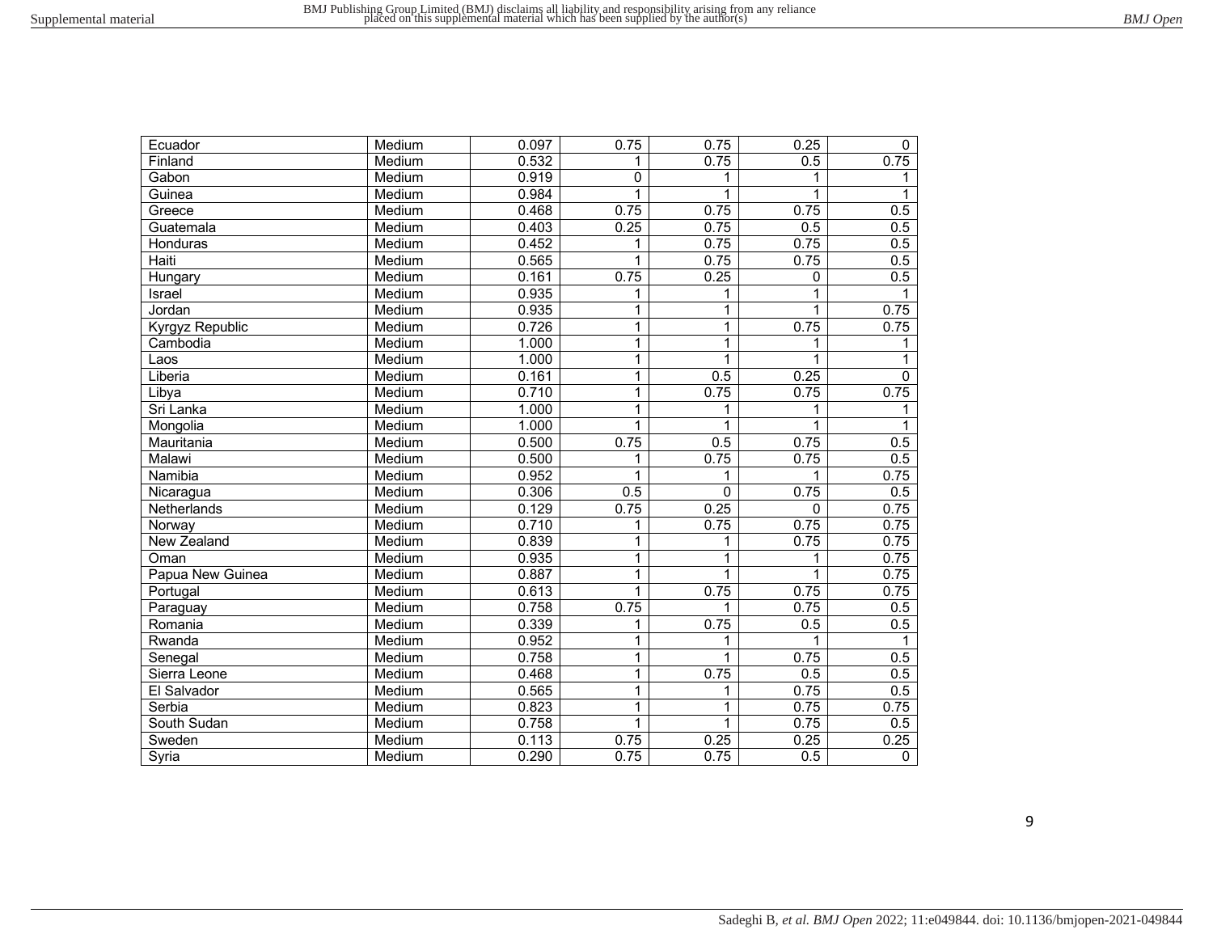| Ecuador          | Medium | 0.097 | 0.75         | 0.75           | 0.25              | 0              |
|------------------|--------|-------|--------------|----------------|-------------------|----------------|
| Finland          | Medium | 0.532 | 1            | 0.75           | 0.5               | 0.75           |
| Gabon            | Medium | 0.919 | 0            | 1              | 1                 | 1              |
| Guinea           | Medium | 0.984 | 1            | 1              | 1                 | 1              |
| Greece           | Medium | 0.468 | 0.75         | 0.75           | 0.75              | 0.5            |
| Guatemala        | Medium | 0.403 | 0.25         | 0.75           | 0.5               | 0.5            |
| Honduras         | Medium | 0.452 | 1            | 0.75           | 0.75              | 0.5            |
| Haiti            | Medium | 0.565 | 1            | 0.75           | 0.75              | 0.5            |
| Hungary          | Medium | 0.161 | 0.75         | 0.25           | 0                 | 0.5            |
| Israel           | Medium | 0.935 | 1            | 1              | 1                 | 1              |
| Jordan           | Medium | 0.935 | 1            | $\overline{1}$ | 1                 | 0.75           |
| Kyrgyz Republic  | Medium | 0.726 | $\mathbf{1}$ | $\overline{1}$ | 0.75              | 0.75           |
| Cambodia         | Medium | 1.000 | 1            | $\overline{1}$ | 1                 | 1              |
| Laos             | Medium | 1.000 | 1            | 1              | 1                 | 1              |
| Liberia          | Medium | 0.161 | 1            | 0.5            | 0.25              | 0              |
| Libya            | Medium | 0.710 | 1            | 0.75           | 0.75              | 0.75           |
| Sri Lanka        | Medium | 1.000 | 1            | 1              | 1                 | 1              |
| Mongolia         | Medium | 1.000 | 1            | 1              | 1                 |                |
| Mauritania       | Medium | 0.500 | 0.75         | 0.5            | 0.75              | 0.5            |
| Malawi           | Medium | 0.500 | 1            | 0.75           | 0.75              | 0.5            |
| Namibia          | Medium | 0.952 | 1            | 1              | 1                 | 0.75           |
| Nicaragua        | Medium | 0.306 | 0.5          | 0              | 0.75              | 0.5            |
| Netherlands      | Medium | 0.129 | 0.75         | 0.25           | $\Omega$          | 0.75           |
| Norway           | Medium | 0.710 | 1            | 0.75           | 0.75              | 0.75           |
| New Zealand      | Medium | 0.839 | 1            | 1              | 0.75              | 0.75           |
| Oman             | Medium | 0.935 | 1            | 1              | 1                 | 0.75           |
| Papua New Guinea | Medium | 0.887 | 1            | 1              | 1                 | 0.75           |
| Portugal         | Medium | 0.613 | 1            | 0.75           | $\overline{0.75}$ | 0.75           |
| Paraguay         | Medium | 0.758 | 0.75         | 1              | 0.75              | 0.5            |
| Romania          | Medium | 0.339 | 1            | 0.75           | 0.5               | 0.5            |
| Rwanda           | Medium | 0.952 | 1            | 1              | 1                 | 1              |
| Senegal          | Medium | 0.758 | 1            | 1              | 0.75              | 0.5            |
| Sierra Leone     | Medium | 0.468 | 1            | 0.75           | 0.5               | 0.5            |
| El Salvador      | Medium | 0.565 | 1            | 1              | 0.75              | 0.5            |
| Serbia           | Medium | 0.823 | 1            | 1              | 0.75              | 0.75           |
| South Sudan      | Medium | 0.758 | 1            | $\mathbf{1}$   | 0.75              | 0.5            |
| Sweden           | Medium | 0.113 | 0.75         | 0.25           | 0.25              | 0.25           |
| Syria            | Medium | 0.290 | 0.75         | 0.75           | 0.5               | $\overline{0}$ |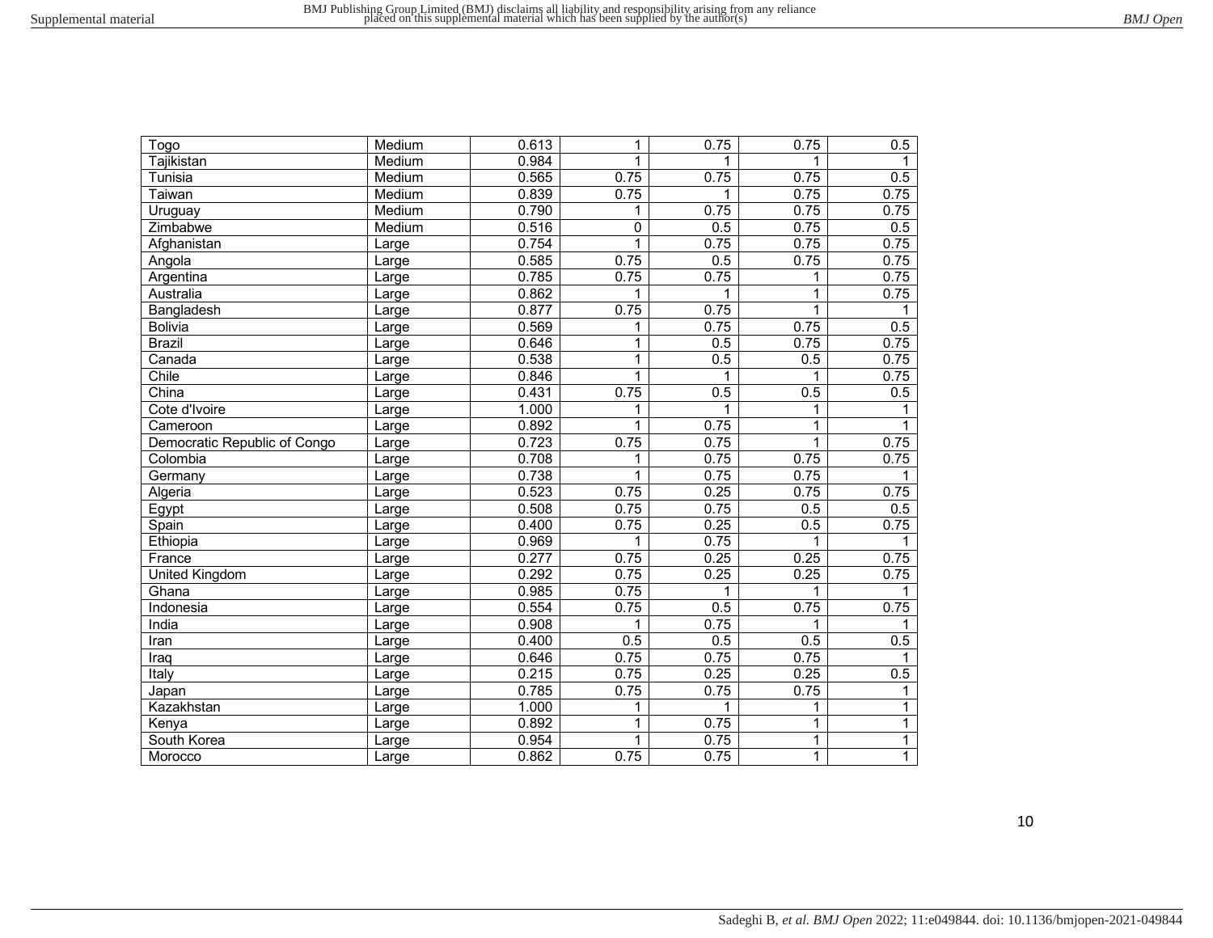| Togo                         | Medium | 0.613 | 1            | 0.75 | 0.75         | 0.5          |
|------------------------------|--------|-------|--------------|------|--------------|--------------|
| Tajikistan                   | Medium | 0.984 | $\mathbf{1}$ | 1    | 1            | 1            |
| Tunisia                      | Medium | 0.565 | 0.75         | 0.75 | 0.75         | 0.5          |
| Taiwan                       | Medium | 0.839 | 0.75         | 1    | 0.75         | 0.75         |
| Uruguay                      | Medium | 0.790 | 1            | 0.75 | 0.75         | 0.75         |
| Zimbabwe                     | Medium | 0.516 | 0            | 0.5  | 0.75         | 0.5          |
| Afghanistan                  | Large  | 0.754 | $\mathbf{1}$ | 0.75 | 0.75         | 0.75         |
| Angola                       | Large  | 0.585 | 0.75         | 0.5  | 0.75         | 0.75         |
| Argentina                    | Large  | 0.785 | 0.75         | 0.75 | 1            | 0.75         |
| Australia                    | Large  | 0.862 |              | 1    | $\mathbf 1$  | 0.75         |
| Bangladesh                   | Large  | 0.877 | 0.75         | 0.75 | $\mathbf{1}$ | 1            |
| <b>Bolivia</b>               | Large  | 0.569 | 1            | 0.75 | 0.75         | 0.5          |
| <b>Brazil</b>                | Large  | 0.646 | 1            | 0.5  | 0.75         | 0.75         |
| Canada                       | Large  | 0.538 | 1            | 0.5  | 0.5          | 0.75         |
| Chile                        | Large  | 0.846 | $\mathbf{1}$ | 1    | 1            | 0.75         |
| China                        | Large  | 0.431 | 0.75         | 0.5  | 0.5          | 0.5          |
| Cote d'Ivoire                | Large  | 1.000 | 1            | 1    | 1            | 1            |
| Cameroon                     | Large  | 0.892 | 1            | 0.75 | $\mathbf 1$  |              |
| Democratic Republic of Congo | Large  | 0.723 | 0.75         | 0.75 | $\mathbf 1$  | 0.75         |
| Colombia                     | Large  | 0.708 | 1            | 0.75 | 0.75         | 0.75         |
| Germany                      | Large  | 0.738 | 1            | 0.75 | 0.75         |              |
| Algeria                      | Large  | 0.523 | 0.75         | 0.25 | 0.75         | 0.75         |
| Egypt                        | Large  | 0.508 | 0.75         | 0.75 | 0.5          | 0.5          |
| Spain                        | Large  | 0.400 | 0.75         | 0.25 | 0.5          | 0.75         |
| Ethiopia                     | Large  | 0.969 | 1            | 0.75 | 1            |              |
| France                       | Large  | 0.277 | 0.75         | 0.25 | 0.25         | 0.75         |
| <b>United Kingdom</b>        | Large  | 0.292 | 0.75         | 0.25 | 0.25         | 0.75         |
| Ghana                        | Large  | 0.985 | 0.75         | 1    | 1            | 1            |
| Indonesia                    | Large  | 0.554 | 0.75         | 0.5  | 0.75         | 0.75         |
| India                        | Large  | 0.908 | 1            | 0.75 | 1            | 1            |
| Iran                         | Large  | 0.400 | 0.5          | 0.5  | 0.5          | 0.5          |
| Iraq                         | Large  | 0.646 | 0.75         | 0.75 | 0.75         | 1            |
| Italy                        | Large  | 0.215 | 0.75         | 0.25 | 0.25         | 0.5          |
| Japan                        | Large  | 0.785 | 0.75         | 0.75 | 0.75         | 1            |
| Kazakhstan                   | Large  | 1.000 | 1            | 1    | $\mathbf{1}$ | $\mathbf{1}$ |
| Kenya                        | Large  | 0.892 | 1            | 0.75 | $\mathbf{1}$ | $\mathbf{1}$ |
| South Korea                  | Large  | 0.954 | $\mathbf{1}$ | 0.75 | $\mathbf{1}$ | $\mathbf{1}$ |
| Morocco                      | Large  | 0.862 | 0.75         | 0.75 | $\mathbf{1}$ | $\mathbf{1}$ |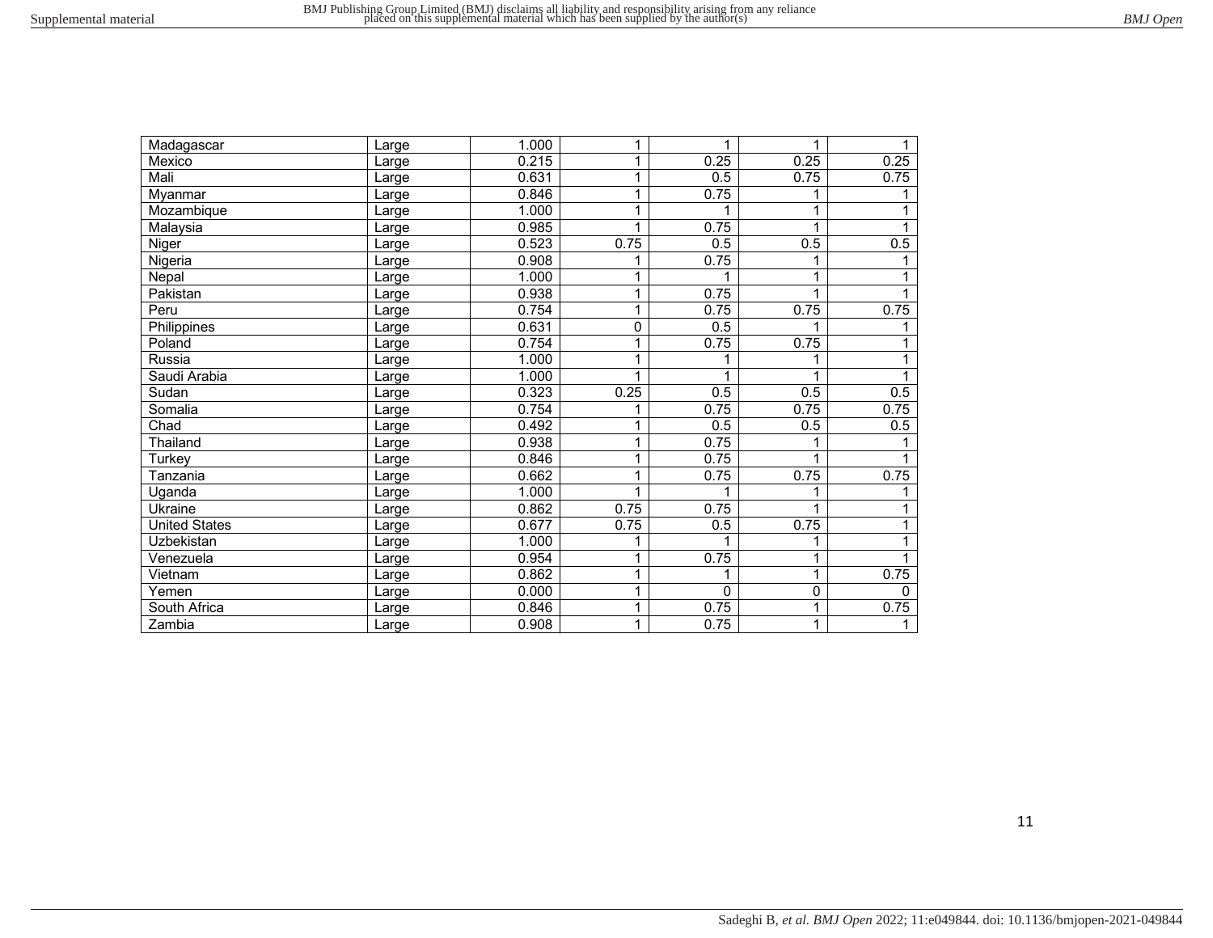| Madagascar           | Large | 1.000 | 1            | 1                | 1            | 1        |
|----------------------|-------|-------|--------------|------------------|--------------|----------|
| Mexico               | Large | 0.215 | 1            | 0.25             | 0.25         | 0.25     |
| Mali                 | Large | 0.631 | 1            | 0.5              | 0.75         | 0.75     |
| Myanmar              | Large | 0.846 | 1            | 0.75             |              |          |
| Mozambique           | Large | 1.000 | 1            | 1                | 1            | 1        |
| Malaysia             | Large | 0.985 | 1            | 0.75             |              |          |
| Niger                | Large | 0.523 | 0.75         | 0.5              | 0.5          | 0.5      |
| Nigeria              | Large | 0.908 | 1            | 0.75             |              |          |
| Nepal                | Large | 1.000 | 1            | 1                | $\mathbf{1}$ | 1        |
| Pakistan             | Large | 0.938 | 1            | 0.75             | 1            |          |
| Peru                 | Large | 0.754 | 1            | 0.75             | 0.75         | 0.75     |
| Philippines          | Large | 0.631 | 0            | $\overline{0.5}$ |              |          |
| Poland               | Large | 0.754 | 1            | 0.75             | 0.75         |          |
| Russia               | Large | 1.000 | $\mathbf{1}$ | 1                |              | 1        |
| Saudi Arabia         | Large | 1.000 | 1            | 1                |              |          |
| Sudan                | Large | 0.323 | 0.25         | $\overline{0.5}$ | 0.5          | 0.5      |
| Somalia              | Large | 0.754 |              | 0.75             | 0.75         | 0.75     |
| Chad                 | Large | 0.492 | 1            | 0.5              | 0.5          | 0.5      |
| Thailand             | Large | 0.938 | 1            | 0.75             |              |          |
| Turkey               | Large | 0.846 | 1            | 0.75             | 1            |          |
| <b>Tanzania</b>      | Large | 0.662 | 1            | 0.75             | 0.75         | 0.75     |
| Uganda               | Large | 1.000 |              |                  |              |          |
| Ukraine              | Large | 0.862 | 0.75         | 0.75             | 1            | 1        |
| <b>United States</b> | Large | 0.677 | 0.75         | 0.5              | 0.75         |          |
| Uzbekistan           | Large | 1.000 | 1            | 1                | 1            | 1        |
| Venezuela            | Large | 0.954 | 1            | 0.75             | 1            |          |
| Vietnam              | Large | 0.862 | $\mathbf 1$  | 1                | 1            | 0.75     |
| Yemen                | Large | 0.000 | 1            | $\mathbf{0}$     | $\mathbf 0$  | $\Omega$ |
| South Africa         | Large | 0.846 | 1            | 0.75             | 1            | 0.75     |
| Zambia               | Large | 0.908 | 1            | 0.75             | 1            | 1        |